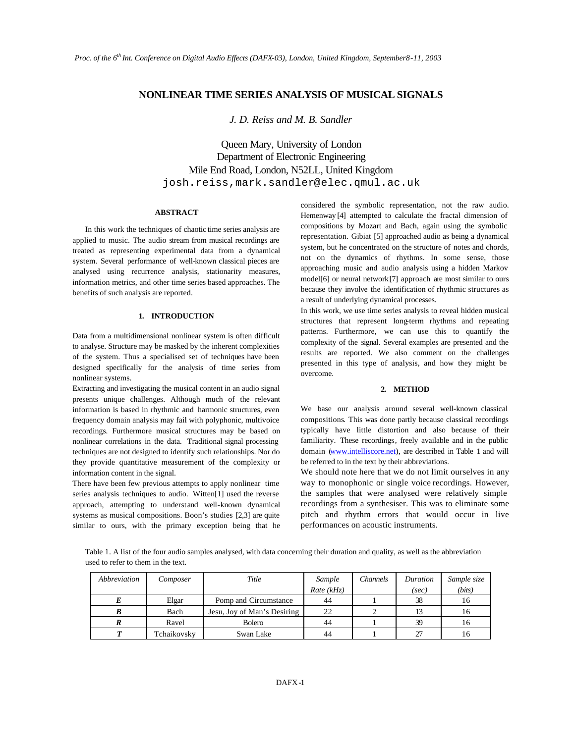# **NONLINEAR TIME SERIES ANALYSIS OF MUSICAL SIGNALS**

*J. D. Reiss and M. B. Sandler*

Queen Mary, University of London Department of Electronic Engineering Mile End Road, London, N52LL, United Kingdom josh.reiss,mark.sandler@elec.qmul.ac.uk

# **ABSTRACT**

In this work the techniques of chaotic time series analysis are applied to music. The audio stream from musical recordings are treated as representing experimental data from a dynamical system. Several performance of well-known classical pieces are analysed using recurrence analysis, stationarity measures, information metrics, and other time series based approaches. The benefits of such analysis are reported.

# **1. INTRODUCTION**

Data from a multidimensional nonlinear system is often difficult to analyse. Structure may be masked by the inherent complexities of the system. Thus a specialised set of techniques have been designed specifically for the analysis of time series from nonlinear systems.

Extracting and investigating the musical content in an audio signal presents unique challenges. Although much of the relevant information is based in rhythmic and harmonic structures, even frequency domain analysis may fail with polyphonic, multivoice recordings. Furthermore musical structures may be based on nonlinear correlations in the data. Traditional signal processing techniques are not designed to identify such relationships. Nor do they provide quantitative measurement of the complexity or information content in the signal.

There have been few previous attempts to apply nonlinear time series analysis techniques to audio. Witten[1] used the reverse approach, attempting to understand well-known dynamical systems as musical compositions. Boon's studies [2,3] are quite similar to ours, with the primary exception being that he considered the symbolic representation, not the raw audio. Hemenway [4] attempted to calculate the fractal dimension of compositions by Mozart and Bach, again using the symbolic representation. Gibiat [5] approached audio as being a dynamical system, but he concentrated on the structure of notes and chords, not on the dynamics of rhythms. In some sense, those approaching music and audio analysis using a hidden Markov model[6] or neural network[7] approach are most similar to ours because they involve the identification of rhythmic structures as a result of underlying dynamical processes.

In this work, we use time series analysis to reveal hidden musical structures that represent long-term rhythms and repeating patterns. Furthermore, we can use this to quantify the complexity of the signal. Several examples are presented and the results are reported. We also comment on the challenges presented in this type of analysis, and how they might be overcome.

#### **2. METHOD**

We base our analysis around several well-known classical compositions. This was done partly because classical recordings typically have little distortion and also because of their familiarity. These recordings, freely available and in the public domain (www.intelliscore.net), are described in Table 1 and will be referred to in the text by their abbreviations.

We should note here that we do not limit ourselves in any way to monophonic or single voice recordings. However, the samples that were analysed were relatively simple recordings from a synthesiser. This was to eliminate some pitch and rhythm errors that would occur in live performances on acoustic instruments.

Table 1. A list of the four audio samples analysed, with data concerning their duration and quality, as well as the abbreviation used to refer to them in the text.

| Abbreviation | Composer    | Title                       | Sample<br>Rate $(kHz)$ | <b>Channels</b> | Duration<br>(sec) | Sample size<br>(bits) |
|--------------|-------------|-----------------------------|------------------------|-----------------|-------------------|-----------------------|
|              | Elgar       | Pomp and Circumstance       | 44                     |                 | 38                | 16                    |
|              | Bach        | Jesu, Joy of Man's Desiring | 22                     |                 | 13                | 16                    |
|              | Ravel       | <b>Bolero</b>               | 44                     |                 | 39                | 16                    |
|              | Tchaikovsky | Swan Lake                   | 44                     |                 | 27                | 16                    |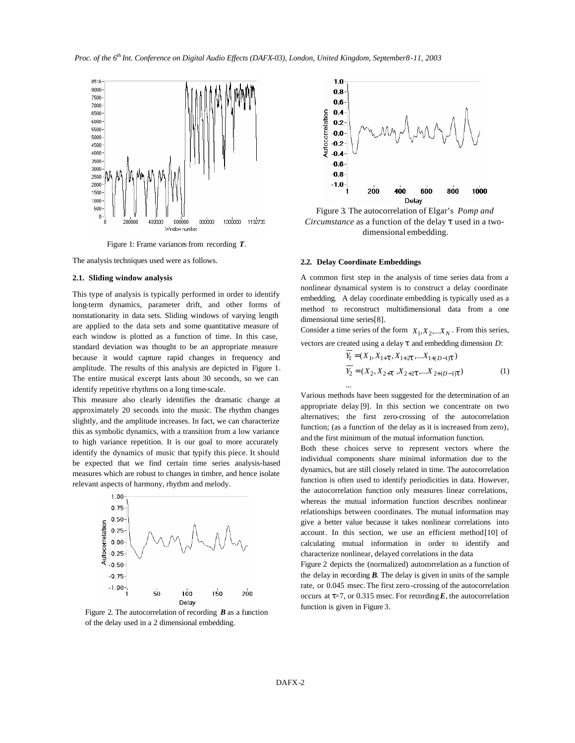

Figure 1: Frame variances from recording *T*.

The analysis techniques used were as follows.

# **2.1. Sliding window analysis**

This type of analysis is typically performed in order to identify long-term dynamics, parameter drift, and other forms of nonstationarity in data sets. Sliding windows of varying length are applied to the data sets and some quantitative measure of each window is plotted as a function of time. In this case, standard deviation was thought to be an appropriate measure because it would capture rapid changes in frequency and amplitude. The results of this analysis are depicted in Figure 1. The entire musical excerpt lasts about 30 seconds, so we can identify repetitive rhythms on a long time-scale.

This measure also clearly identifies the dramatic change at approximately 20 seconds into the music. The rhythm changes slightly, and the amplitude increases. In fact, we can characterize this as symbolic dynamics, with a transition from a low variance to high variance repetition. It is our goal to more accurately identify the dynamics of music that typify this piece. It should be expected that we find certain time series analysis-based measures which are robust to changes in timbre, and hence isolate relevant aspects of harmony, rhythm and melody.



Figure 2. The autocorrelation of recording *B* as a function of the delay used in a 2 dimensional embedding.



Figure 3. The autocorrelation of Elgar's *Pomp and Circumstance* as a function of the delay *t* used in a twodimensional embedding.

#### **2.2. Delay Coordinate Embeddings**

...

A common first step in the analysis of time series data from a nonlinear dynamical system is to construct a delay coordinate embedding. A delay coordinate embedding is typically used as a method to reconstruct multidimensional data from a one dimensional time series[8].

Consider a time series of the form  $X_1, X_2,... X_N$ . From this series, vectors are created using a delay *t* and embedding dimension *D*:

$$
Y_1 = (X_1, X_{1+\mathbf{t}}, X_{1+2\mathbf{t}}, \dots, X_{1+(D-1)\mathbf{t}})
$$
  
\n
$$
Y_2 = (X_2, X_{2+\mathbf{t}}, X_{2+2\mathbf{t}}, \dots, X_{2+(D-1)\mathbf{t}})
$$
 (1)

Various methods have been suggested for the determination of an appropriate delay [9]. In this section we concentrate on two alternatives; the first zero-crossing of the autocorrelation function; (as a function of the delay as it is increased from zero), and the first minimum of the mutual information function.

Both these choices serve to represent vectors where the individual components share minimal information due to the dynamics, but are still closely related in time. The autocorrelation function is often used to identify periodicities in data. However, the autocorrelation function only measures linear correlations, whereas the mutual information function describes nonlinear relationships between coordinates. The mutual information may give a better value because it takes nonlinear correlations into account. In this section, we use an efficient method[10] of calculating mutual information in order to identify and characterize nonlinear, delayed correlations in the data

Figure 2 depicts the (normalized) autocorrelation as a function of the delay in recording *B.* The delay is given in units of the sample rate, or 0.045 msec. The first zero-crossing of the autocorrelation occurs at  $t=7$ , or 0.315 msec. For recording  $E$ , the autocorrelation function is given in Figure 3.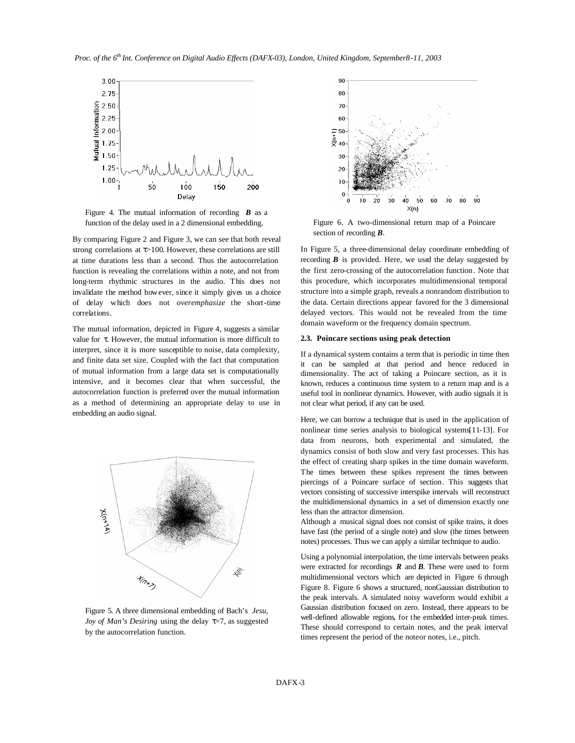*Proc. of the 6th Int. Conference on Digital Audio Effects (DAFX-03), London, United Kingdom, September8-11, 2003*



Figure 4. The mutual information of recording *B* as a function of the delay used in a 2 dimensional embedding.

By comparing Figure 2 and Figure 3, we can see that both reveal strong correlations at *t*>100. However, these correlations are still at time durations less than a second. Thus the autocorrelation function is revealing the correlations within a note, and not from long-term rhythmic structures in the audio. This does not invalidate the method however, since it simply gives us a choice of delay which does not *overemphasize* the short-time correlations.

The mutual information, depicted in Figure 4, suggests a similar value for *t*. However, the mutual information is more difficult to interpret, since it is more susceptible to noise, data complexity, and finite data set size. Coupled with the fact that computation of mutual information from a large data set is computationally intensive, and it becomes clear that when successful, the autocorrelation function is preferred over the mutual information as a method of determining an appropriate delay to use in embedding an audio signal.



Figure 5. A three dimensional embedding of Bach's *Jesu, Joy of Man's Desiring* using the delay τ=7, as suggested by the autocorrelation function.



Figure 6. A two-dimensional return map of a Poincare section of recording *B.*

In Figure 5, a three-dimensional delay coordinate embedding of recording  $\bm{B}$  is provided. Here, we used the delay suggested by the first zero-crossing of the autocorrelation function. Note that this procedure, which incorporates multidimensional temporal structure into a simple graph, reveals a nonrandom distribution to the data. Certain directions appear favored for the 3 dimensional delayed vectors. This would not be revealed from the time domain waveform or the frequency domain spectrum.

# **2.3. Poincare sections using peak detection**

If a dynamical system contains a term that is periodic in time then it can be sampled at that period and hence reduced in dimensionality. The act of taking a Poincare section, as it is known, reduces a continuous time system to a return map and is a useful tool in nonlinear dynamics. However, with audio signals it is not clear what period, if any can be used.

Here, we can borrow a technique that is used in the application of nonlinear time series analysis to biological systems[11-13]. For data from neurons, both experimental and simulated, the dynamics consist of both slow and very fast processes. This has the effect of creating sharp spikes in the time domain waveform. The times between these spikes represent the times between piercings of a Poincare surface of section. This suggests that vectors consisting of successive interspike intervals will reconstruct the multidimensional dynamics in a set of dimension exactly one less than the attractor dimension.

Although a musical signal does not consist of spike trains, it does have fast (the period of a single note) and slow (the times between notes) processes. Thus we can apply a similar technique to audio.

Using a polynomial interpolation, the time intervals between peaks were extracted for recordings *R* and *B*. These were used to form multidimensional vectors which are depicted in Figure 6 through Figure 8. Figure 6 shows a structured, nonGaussian distribution to the peak intervals. A simulated noisy waveform would exhibit a Gaussian distribution focused on zero. Instead, there appears to be well-defined allowable regions, for the embedded inter-peak times. These should correspond to certain notes, and the peak interval times represent the period of the noteor notes, i.e., pitch.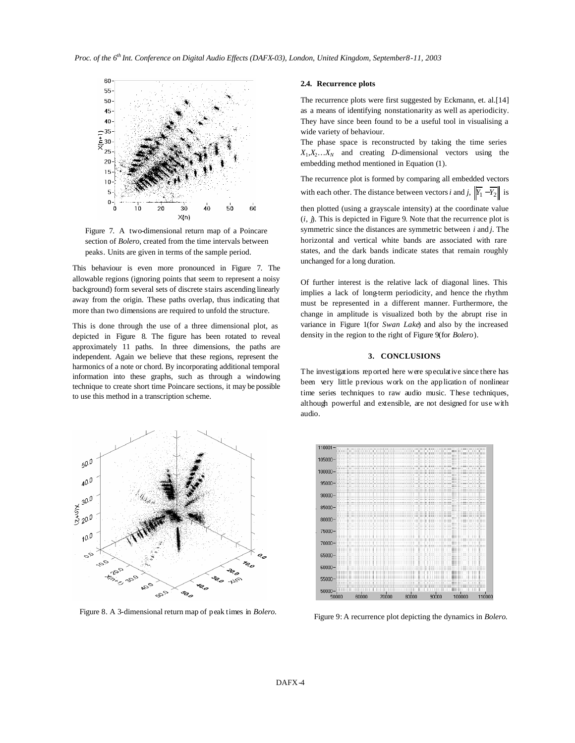

Figure 7. A two-dimensional return map of a Poincare section of *Bolero*, created from the time intervals between peaks*.* Units are given in terms of the sample period.

This behaviour is even more pronounced in Figure 7. The allowable regions (ignoring points that seem to represent a noisy background) form several sets of discrete stairs ascending linearly away from the origin. These paths overlap, thus indicating that more than two dimensions are required to unfold the structure.

This is done through the use of a three dimensional plot, as depicted in Figure 8. The figure has been rotated to reveal approximately 11 paths. In three dimensions, the paths are independent. Again we believe that these regions, represent the harmonics of a note or chord. By incorporating additional temporal information into these graphs, such as through a windowing technique to create short time Poincare sections, it may be possible to use this method in a transcription scheme.



Figure 8. A 3-dimensional return map of peak times in *Bolero.*

### **2.4. Recurrence plots**

The recurrence plots were first suggested by Eckmann, et. al.[14] as a means of identifying nonstationarity as well as aperiodicity. They have since been found to be a useful tool in visualising a wide variety of behaviour.

The phase space is reconstructed by taking the time series  $X_1, X_2, \ldots, X_N$  and creating *D*-dimensional vectors using the embedding method mentioned in Equation (1).

The recurrence plot is formed by comparing all embedded vectors with each other. The distance between vectors *i* and *j*,  $\left| Y_1 - Y_2 \right|$  is

then plotted (using a grayscale intensity) at the coordinate value (*i, j*). This is depicted in Figure 9. Note that the recurrence plot is symmetric since the distances are symmetric between *i* and *j*. The horizontal and vertical white bands are associated with rare states, and the dark bands indicate states that remain roughly unchanged for a long duration.

Of further interest is the relative lack of diagonal lines. This implies a lack of long-term periodicity, and hence the rhythm must be represented in a different manner. Furthermore, the change in amplitude is visualized both by the abrupt rise in variance in Figure 1(for *Swan Lake*) and also by the increased density in the region to the right of Figure 9(for *Bolero*).

#### **3. CONCLUSIONS**

The investigations reported here were speculative since there has been very little previous work on the application of nonlinear time series techniques to raw audio music. These techniques, although powerful and extensible, are not designed for use with audio.

| 10001     |              |       |       |                  |                                                  |                                                             |              |
|-----------|--------------|-------|-------|------------------|--------------------------------------------------|-------------------------------------------------------------|--------------|
|           | ÷<br>u u     |       | ×     | 444,004<br>::::: | $(0.1 - 1)$ (1) 31<br><br><b>Links</b><br>118.91 | 2-20021-12031 0-2-02 220-22<br><u> 1988 - Jacques Steve</u> |              |
| 05000-    |              |       |       |                  | <b>HOLY</b>                                      | 1223<br>m<br><b>SALE</b><br>1222                            | ES STERN     |
| $00000 -$ |              |       |       |                  |                                                  | 48811 1011 1112 1204<br><b>SHORES</b><br>10011-0111         |              |
|           |              |       |       |                  |                                                  | <b>BRIEF - 10111 0</b><br>н<br>mi                           |              |
| $95000 -$ | ÷            |       |       |                  |                                                  | <b>AMORE CALL AND RESIDENT</b>                              |              |
| $90000 -$ |              |       |       |                  |                                                  |                                                             |              |
| $85000 -$ |              |       |       |                  |                                                  |                                                             |              |
|           |              |       |       |                  | nn                                               | <b>CONTROL</b>                                              | <b>HOULD</b> |
| $80000 -$ |              |       |       |                  |                                                  |                                                             |              |
| $75000 -$ |              |       |       |                  |                                                  | 1911                                                        |              |
| $70000 -$ | ÷            |       |       |                  |                                                  | <b>BRB11, 3811C1</b><br>×                                   |              |
|           |              |       |       |                  |                                                  |                                                             |              |
| $65000 -$ |              |       |       |                  |                                                  | 1441<br>$100 - 100$                                         |              |
| $60000 -$ |              |       |       |                  |                                                  | $100 - 100$                                                 |              |
| $55000 -$ |              |       |       |                  |                                                  |                                                             |              |
|           | ٠<br>÷<br>11 |       |       |                  |                                                  | п                                                           |              |
| $50000 -$ |              |       |       |                  |                                                  |                                                             |              |
|           | 50000        | 60000 | 70000 | 80000            | 90000                                            | 100000                                                      | 110000       |

Figure 9: A recurrence plot depicting the dynamics in *Bolero.*